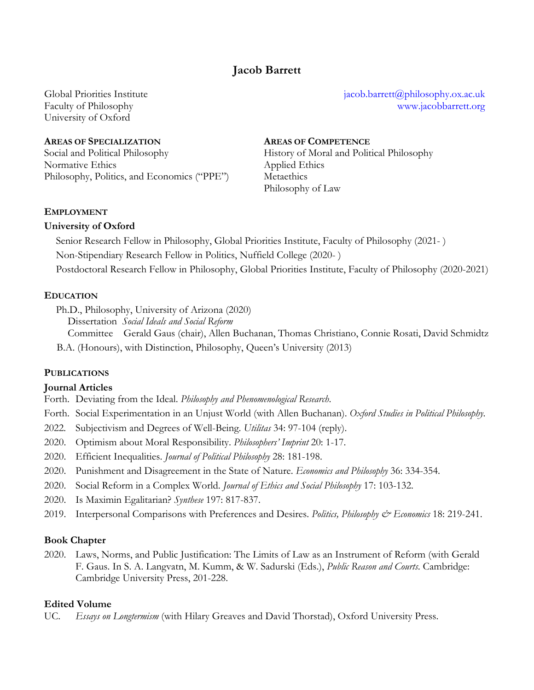# **Jacob Barrett**

Global Priorities Institute Faculty of Philosophy University of Oxford

## **AREAS OF SPECIALIZATION AREAS OF COMPETENCE**

Normative Ethics Applied Ethics Philosophy, Politics, and Economics ("PPE") Metaethics

jacob.barrett@philosophy.ox.ac.uk www.jacobbarrett.org

Social and Political Philosophy History of Moral and Political Philosophy Philosophy of Law

## **EMPLOYMENT**

## **University of Oxford**

Senior Research Fellow in Philosophy, Global Priorities Institute, Faculty of Philosophy (2021- ) Non-Stipendiary Research Fellow in Politics, Nuffield College (2020- ) Postdoctoral Research Fellow in Philosophy, Global Priorities Institute, Faculty of Philosophy (2020-2021)

## **EDUCATION**

- Ph.D., Philosophy, University of Arizona (2020)
	- Dissertation *Social Ideals and Social Reform*

Committee Gerald Gaus (chair), Allen Buchanan, Thomas Christiano, Connie Rosati, David Schmidtz B.A. (Honours), with Distinction, Philosophy, Queen's University (2013)

## **PUBLICATIONS**

## **Journal Articles**

Forth. Deviating from the Ideal. *Philosophy and Phenomenological Research*.

- Forth. Social Experimentation in an Unjust World (with Allen Buchanan). *Oxford Studies in Political Philosophy*.
- 2022*.* Subjectivism and Degrees of Well-Being. *Utilitas* 34: 97-104 (reply).
- 2020. Optimism about Moral Responsibility. *Philosophers' Imprint* 20: 1-17.
- 2020. Efficient Inequalities. *Journal of Political Philosophy* 28: 181-198.
- 2020. Punishment and Disagreement in the State of Nature. *Economics and Philosophy* 36: 334-354.
- 2020. Social Reform in a Complex World. *Journal of Ethics and Social Philosophy* 17: 103-132.
- 2020. Is Maximin Egalitarian? *Synthese* 197: 817-837.
- 2019. Interpersonal Comparisons with Preferences and Desires. *Politics, Philosophy & Economics* 18: 219-241.

## **Book Chapter**

2020. Laws, Norms, and Public Justification: The Limits of Law as an Instrument of Reform (with Gerald F. Gaus. In S. A. Langvatn, M. Kumm, & W. Sadurski (Eds.), *Public Reason and Courts*. Cambridge: Cambridge University Press, 201-228.

## **Edited Volume**

UC. *Essays on Longtermism* (with Hilary Greaves and David Thorstad), Oxford University Press.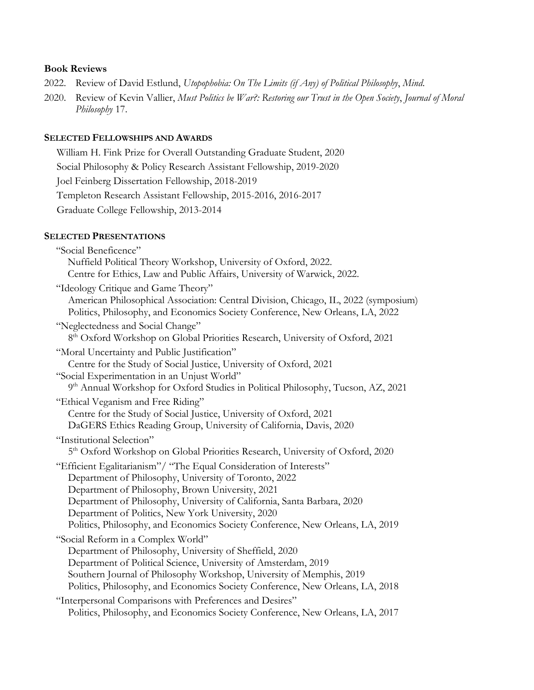## **Book Reviews**

- 2022. Review of David Estlund, *Utopophobia: On The Limits (if Any) of Political Philosophy*, *Mind*.
- 2020. Review of Kevin Vallier, *Must Politics be War?: Restoring our Trust in the Open Society*, *Journal of Moral Philosophy* 17.

## **SELECTED FELLOWSHIPS AND AWARDS**

William H. Fink Prize for Overall Outstanding Graduate Student, 2020 Social Philosophy & Policy Research Assistant Fellowship, 2019-2020 Joel Feinberg Dissertation Fellowship, 2018-2019 Templeton Research Assistant Fellowship, 2015-2016, 2016-2017 Graduate College Fellowship, 2013-2014

## **SELECTED PRESENTATIONS**

| "Social Beneficence"                                                                                                                      |
|-------------------------------------------------------------------------------------------------------------------------------------------|
| Nuffield Political Theory Workshop, University of Oxford, 2022.                                                                           |
| Centre for Ethics, Law and Public Affairs, University of Warwick, 2022.                                                                   |
| "Ideology Critique and Game Theory"                                                                                                       |
| American Philosophical Association: Central Division, Chicago, IL, 2022 (symposium)                                                       |
| Politics, Philosophy, and Economics Society Conference, New Orleans, LA, 2022                                                             |
| "Neglectedness and Social Change"                                                                                                         |
| 8 <sup>th</sup> Oxford Workshop on Global Priorities Research, University of Oxford, 2021                                                 |
| "Moral Uncertainty and Public Justification"                                                                                              |
| Centre for the Study of Social Justice, University of Oxford, 2021                                                                        |
| "Social Experimentation in an Unjust World"                                                                                               |
| 9th Annual Workshop for Oxford Studies in Political Philosophy, Tucson, AZ, 2021                                                          |
| "Ethical Veganism and Free Riding"                                                                                                        |
| Centre for the Study of Social Justice, University of Oxford, 2021                                                                        |
| DaGERS Ethics Reading Group, University of California, Davis, 2020                                                                        |
| "Institutional Selection"                                                                                                                 |
| 5 <sup>th</sup> Oxford Workshop on Global Priorities Research, University of Oxford, 2020                                                 |
| "Efficient Egalitarianism"/ "The Equal Consideration of Interests"                                                                        |
| Department of Philosophy, University of Toronto, 2022                                                                                     |
| Department of Philosophy, Brown University, 2021                                                                                          |
| Department of Philosophy, University of California, Santa Barbara, 2020                                                                   |
| Department of Politics, New York University, 2020                                                                                         |
| Politics, Philosophy, and Economics Society Conference, New Orleans, LA, 2019                                                             |
| "Social Reform in a Complex World"                                                                                                        |
| Department of Philosophy, University of Sheffield, 2020                                                                                   |
| Department of Political Science, University of Amsterdam, 2019                                                                            |
| Southern Journal of Philosophy Workshop, University of Memphis, 2019                                                                      |
| Politics, Philosophy, and Economics Society Conference, New Orleans, LA, 2018                                                             |
|                                                                                                                                           |
| "Interpersonal Comparisons with Preferences and Desires"<br>Politics, Philosophy, and Economics Society Conference, New Orleans, LA, 2017 |